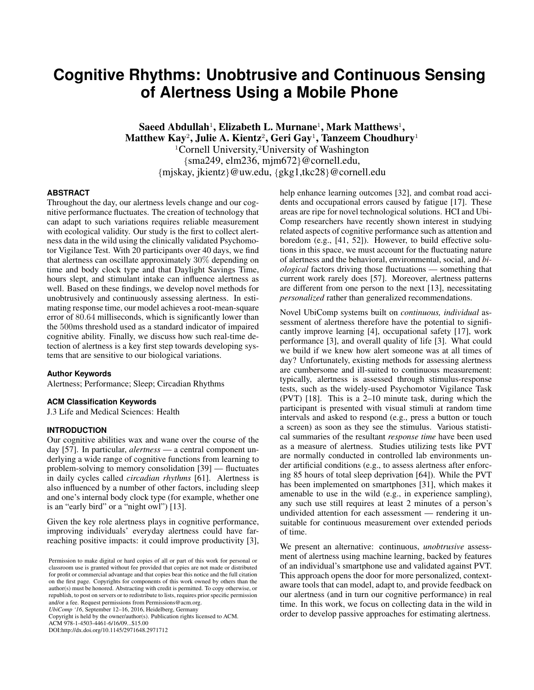# **Cognitive Rhythms: Unobtrusive and Continuous Sensing of Alertness Using a Mobile Phone**

 $\mathbf S$ aeed Abdullah $^1$ , Elizabeth L. Murnane $^1$ , Mark Matthews $^1$ ,  $\mathbf{Mat}$ thew Kay $^2$ , Julie A. Kientz $^2$ , Geri Gay $^1$ , Tanzeem Choudhury $^1$ <sup>1</sup>Cornell University,<sup>2</sup>University of Washington

{sma249, elm236, mjm672}@cornell.edu, {mjskay, jkientz}@uw.edu, {gkg1,tkc28}@cornell.edu

# **ABSTRACT**

Throughout the day, our alertness levels change and our cognitive performance fluctuates. The creation of technology that can adapt to such variations requires reliable measurement with ecological validity. Our study is the first to collect alertness data in the wild using the clinically validated Psychomotor Vigilance Test. With 20 participants over 40 days, we find that alertness can oscillate approximately 30% depending on time and body clock type and that Daylight Savings Time, hours slept, and stimulant intake can influence alertness as well. Based on these findings, we develop novel methods for unobtrusively and continuously assessing alertness. In estimating response time, our model achieves a root-mean-square error of 80.64 milliseconds, which is significantly lower than the 500ms threshold used as a standard indicator of impaired cognitive ability. Finally, we discuss how such real-time detection of alertness is a key first step towards developing systems that are sensitive to our biological variations.

#### **Author Keywords**

Alertness; Performance; Sleep; Circadian Rhythms

#### **ACM Classification Keywords**

J.3 Life and Medical Sciences: Health

# **INTRODUCTION**

Our cognitive abilities wax and wane over the course of the day [\[57\]](#page-11-0). In particular, *alertness* — a central component underlying a wide range of cognitive functions from learning to problem-solving to memory consolidation [\[39\]](#page-10-0) — fluctuates in daily cycles called *circadian rhythms* [\[61\]](#page-11-1). Alertness is also influenced by a number of other factors, including sleep and one's internal body clock type (for example, whether one is an "early bird" or a "night owl") [\[13\]](#page-10-1).

Given the key role alertness plays in cognitive performance, improving individuals' everyday alertness could have farreaching positive impacts: it could improve productivity [\[3\]](#page-9-0),

*UbiComp '16*, September 12–16, 2016, Heidelberg, Germany

Copyright is held by the owner/author(s). Publication rights licensed to ACM. ACM 978-1-4503-4461-6/16/09...\$15.00

DOI:http://dx.doi.org/10.1145/2971648.2971712

help enhance learning outcomes [\[32\]](#page-10-2), and combat road accidents and occupational errors caused by fatigue [\[17\]](#page-10-3). These areas are ripe for novel technological solutions. HCI and Ubi-Comp researchers have recently shown interest in studying related aspects of cognitive performance such as attention and boredom (e.g., [\[41,](#page-11-2) [52\]](#page-11-3)). However, to build effective solutions in this space, we must account for the fluctuating nature of alertness and the behavioral, environmental, social, and *biological* factors driving those fluctuations — something that current work rarely does [\[57\]](#page-11-0). Moreover, alertness patterns are different from one person to the next [\[13\]](#page-10-1), necessitating *personalized* rather than generalized recommendations.

Novel UbiComp systems built on *continuous, individual* assessment of alertness therefore have the potential to significantly improve learning [\[4\]](#page-9-1), occupational safety [\[17\]](#page-10-3), work performance [\[3\]](#page-9-0), and overall quality of life [\[3\]](#page-9-0). What could we build if we knew how alert someone was at all times of day? Unfortunately, existing methods for assessing alertness are cumbersome and ill-suited to continuous measurement: typically, alertness is assessed through stimulus-response tests, such as the widely-used Psychomotor Vigilance Task (PVT) [\[18\]](#page-10-4). This is a 2–10 minute task, during which the participant is presented with visual stimuli at random time intervals and asked to respond (e.g., press a button or touch a screen) as soon as they see the stimulus. Various statistical summaries of the resultant *response time* have been used as a measure of alertness. Studies utilizing tests like PVT are normally conducted in controlled lab environments under artificial conditions (e.g., to assess alertness after enforcing 85 hours of total sleep deprivation [\[64\]](#page-12-0)). While the PVT has been implemented on smartphones [\[31\]](#page-10-5), which makes it amenable to use in the wild (e.g., in experience sampling), any such use still requires at least 2 minutes of a person's undivided attention for each assessment — rendering it unsuitable for continuous measurement over extended periods of time.

We present an alternative: continuous, *unobtrusive* assessment of alertness using machine learning, backed by features of an individual's smartphone use and validated against PVT. This approach opens the door for more personalized, contextaware tools that can model, adapt to, and provide feedback on our alertness (and in turn our cognitive performance) in real time. In this work, we focus on collecting data in the wild in order to develop passive approaches for estimating alertness.

Permission to make digital or hard copies of all or part of this work for personal or classroom use is granted without fee provided that copies are not made or distributed for profit or commercial advantage and that copies bear this notice and the full citation on the first page. Copyrights for components of this work owned by others than the author(s) must be honored. Abstracting with credit is permitted. To copy otherwise, or republish, to post on servers or to redistribute to lists, requires prior specific permission and/or a fee. Request permissions from Permissions@acm.org.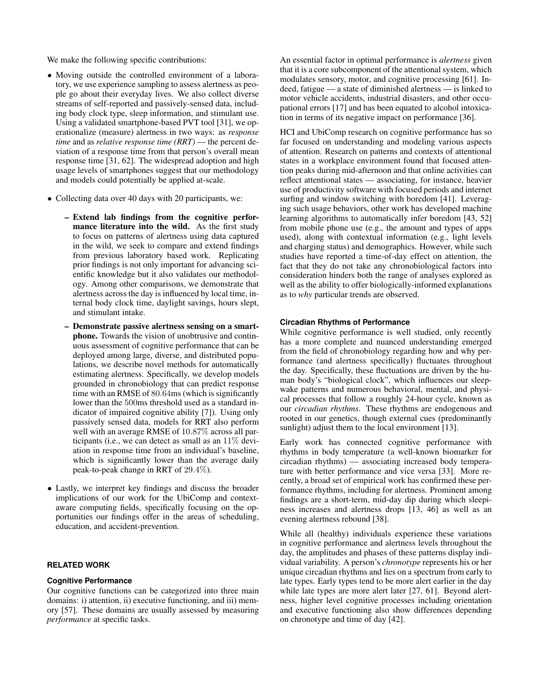We make the following specific contributions:

- Moving outside the controlled environment of a laboratory, we use experience sampling to assess alertness as people go about their everyday lives. We also collect diverse streams of self-reported and passively-sensed data, including body clock type, sleep information, and stimulant use. Using a validated smartphone-based PVT tool [\[31\]](#page-10-5), we operationalize (measure) alertness in two ways: as *response time* and as *relative response time (RRT)* — the percent deviation of a response time from that person's overall mean response time [\[31,](#page-10-5) [62\]](#page-11-4). The widespread adoption and high usage levels of smartphones suggest that our methodology and models could potentially be applied at-scale.
- Collecting data over 40 days with 20 participants, we:
	- Extend lab findings from the cognitive performance literature into the wild. As the first study to focus on patterns of alertness using data captured in the wild, we seek to compare and extend findings from previous laboratory based work. Replicating prior findings is not only important for advancing scientific knowledge but it also validates our methodology. Among other comparisons, we demonstrate that alertness across the day is influenced by local time, internal body clock time, daylight savings, hours slept, and stimulant intake.
	- Demonstrate passive alertness sensing on a smartphone. Towards the vision of unobtrusive and continuous assessment of cognitive performance that can be deployed among large, diverse, and distributed populations, we describe novel methods for automatically estimating alertness. Specifically, we develop models grounded in chronobiology that can predict response time with an RMSE of 80.64ms (which is significantly lower than the 500ms threshold used as a standard indicator of impaired cognitive ability [\[7\]](#page-9-2)). Using only passively sensed data, models for RRT also perform well with an average RMSE of 10.87% across all participants (i.e., we can detect as small as an 11% deviation in response time from an individual's baseline, which is significantly lower than the average daily peak-to-peak change in RRT of 29.4%).
- Lastly, we interpret key findings and discuss the broader implications of our work for the UbiComp and contextaware computing fields, specifically focusing on the opportunities our findings offer in the areas of scheduling, education, and accident-prevention.

# **RELATED WORK**

#### **Cognitive Performance**

Our cognitive functions can be categorized into three main domains: i) attention, ii) executive functioning, and iii) memory [\[57\]](#page-11-0). These domains are usually assessed by measuring *performance* at specific tasks.

An essential factor in optimal performance is *alertness* given that it is a core subcomponent of the attentional system, which modulates sensory, motor, and cognitive processing [\[61\]](#page-11-1). Indeed, fatigue — a state of diminished alertness — is linked to motor vehicle accidents, industrial disasters, and other occupational errors [\[17\]](#page-10-3) and has been equated to alcohol intoxication in terms of its negative impact on performance [\[36\]](#page-10-6).

HCI and UbiComp research on cognitive performance has so far focused on understanding and modeling various aspects of attention. Research on patterns and contexts of attentional states in a workplace environment found that focused attention peaks during mid-afternoon and that online activities can reflect attentional states — associating, for instance, heavier use of productivity software with focused periods and internet surfing and window switching with boredom [\[41\]](#page-11-2). Leveraging such usage behaviors, other work has developed machine learning algorithms to automatically infer boredom [\[43,](#page-11-5) [52\]](#page-11-3) from mobile phone use (e.g., the amount and types of apps used), along with contextual information (e.g., light levels and charging status) and demographics. However, while such studies have reported a time-of-day effect on attention, the fact that they do not take any chronobiological factors into consideration hinders both the range of analyses explored as well as the ability to offer biologically-informed explanations as to *why* particular trends are observed.

# **Circadian Rhythms of Performance**

While cognitive performance is well studied, only recently has a more complete and nuanced understanding emerged from the field of chronobiology regarding how and why performance (and alertness specifically) fluctuates throughout the day. Specifically, these fluctuations are driven by the human body's "biological clock", which influences our sleepwake patterns and numerous behavioral, mental, and physical processes that follow a roughly 24-hour cycle, known as our *circadian rhythms*. These rhythms are endogenous and rooted in our genetics, though external cues (predominantly sunlight) adjust them to the local environment [\[13\]](#page-10-1).

Early work has connected cognitive performance with rhythms in body temperature (a well-known biomarker for circadian rhythms) — associating increased body temperature with better performance and vice versa [\[33\]](#page-10-7). More recently, a broad set of empirical work has confirmed these performance rhythms, including for alertness. Prominent among findings are a short-term, mid-day dip during which sleepiness increases and alertness drops [\[13,](#page-10-1) [46\]](#page-11-6) as well as an evening alertness rebound [\[38\]](#page-10-8).

While all (healthy) individuals experience these variations in cognitive performance and alertness levels throughout the day, the amplitudes and phases of these patterns display individual variability. A person's *chronotype* represents his or her unique circadian rhythms and lies on a spectrum from early to late types. Early types tend to be more alert earlier in the day while late types are more alert later [\[27,](#page-10-9) [61\]](#page-11-1). Beyond alertness, higher level cognitive processes including orientation and executive functioning also show differences depending on chronotype and time of day [\[42\]](#page-11-7).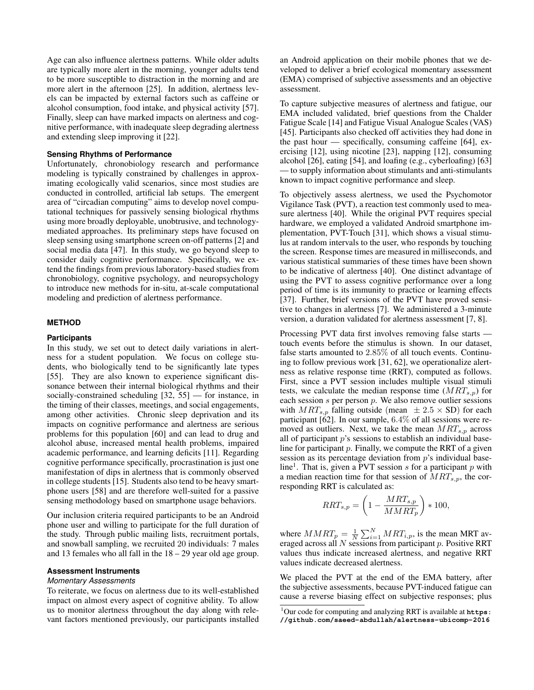Age can also influence alertness patterns. While older adults are typically more alert in the morning, younger adults tend to be more susceptible to distraction in the morning and are more alert in the afternoon [\[25\]](#page-10-10). In addition, alertness levels can be impacted by external factors such as caffeine or alcohol consumption, food intake, and physical activity [\[57\]](#page-11-0). Finally, sleep can have marked impacts on alertness and cognitive performance, with inadequate sleep degrading alertness and extending sleep improving it [\[22\]](#page-10-11).

# **Sensing Rhythms of Performance**

Unfortunately, chronobiology research and performance modeling is typically constrained by challenges in approximating ecologically valid scenarios, since most studies are conducted in controlled, artificial lab setups. The emergent area of "circadian computing" aims to develop novel computational techniques for passively sensing biological rhythms using more broadly deployable, unobtrusive, and technologymediated approaches. Its preliminary steps have focused on sleep sensing using smartphone screen on-off patterns [\[2\]](#page-9-3) and social media data [\[47\]](#page-11-8). In this study, we go beyond sleep to consider daily cognitive performance. Specifically, we extend the findings from previous laboratory-based studies from chronobiology, cognitive psychology, and neuropsychology to introduce new methods for in-situ, at-scale computational modeling and prediction of alertness performance.

#### **METHOD**

#### **Participants**

In this study, we set out to detect daily variations in alertness for a student population. We focus on college students, who biologically tend to be significantly late types [\[55\]](#page-11-9). They are also known to experience significant dissonance between their internal biological rhythms and their socially-constrained scheduling [\[32,](#page-10-2) [55\]](#page-11-9) — for instance, in the timing of their classes, meetings, and social engagements, among other activities. Chronic sleep deprivation and its impacts on cognitive performance and alertness are serious problems for this population [\[60\]](#page-11-10) and can lead to drug and alcohol abuse, increased mental health problems, impaired academic performance, and learning deficits [\[11\]](#page-9-4). Regarding cognitive performance specifically, procrastination is just one manifestation of dips in alertness that is commonly observed in college students [\[15\]](#page-10-12). Students also tend to be heavy smartphone users [\[58\]](#page-11-11) and are therefore well-suited for a passive sensing methodology based on smartphone usage behaviors.

Our inclusion criteria required participants to be an Android phone user and willing to participate for the full duration of the study. Through public mailing lists, recruitment portals, and snowball sampling, we recruited 20 individuals: 7 males and 13 females who all fall in the 18 – 29 year old age group.

#### **Assessment Instruments**

#### *Momentary Assessments*

To reiterate, we focus on alertness due to its well-established impact on almost every aspect of cognitive ability. To allow us to monitor alertness throughout the day along with relevant factors mentioned previously, our participants installed an Android application on their mobile phones that we developed to deliver a brief ecological momentary assessment (EMA) comprised of subjective assessments and an objective assessment.

To capture subjective measures of alertness and fatigue, our EMA included validated, brief questions from the Chalder Fatigue Scale [\[14\]](#page-10-13) and Fatigue Visual Analogue Scales (VAS) [\[45\]](#page-11-12). Participants also checked off activities they had done in the past hour — specifically, consuming caffeine [\[64\]](#page-12-0), exercising [\[12\]](#page-10-14), using nicotine [\[23\]](#page-10-15), napping [\[12\]](#page-10-14), consuming alcohol [\[26\]](#page-10-16), eating [\[54\]](#page-11-13), and loafing (e.g., cyberloafing) [\[63\]](#page-11-14) — to supply information about stimulants and anti-stimulants known to impact cognitive performance and sleep.

To objectively assess alertness, we used the Psychomotor Vigilance Task (PVT), a reaction test commonly used to measure alertness [\[40\]](#page-11-15). While the original PVT requires special hardware, we employed a validated Android smartphone implementation, PVT-Touch [\[31\]](#page-10-5), which shows a visual stimulus at random intervals to the user, who responds by touching the screen. Response times are measured in milliseconds, and various statistical summaries of these times have been shown to be indicative of alertness [\[40\]](#page-11-15). One distinct advantage of using the PVT to assess cognitive performance over a long period of time is its immunity to practice or learning effects [\[37\]](#page-10-17). Further, brief versions of the PVT have proved sensitive to changes in alertness [\[7\]](#page-9-2). We administered a 3-minute version, a duration validated for alertness assessment [\[7,](#page-9-2) [8\]](#page-9-5).

Processing PVT data first involves removing false starts touch events before the stimulus is shown. In our dataset, false starts amounted to 2.85% of all touch events. Continuing to follow previous work [\[31,](#page-10-5) [62\]](#page-11-4), we operationalize alertness as relative response time (RRT), computed as follows. First, since a PVT session includes multiple visual stimuli tests, we calculate the median response time  $(MRT_{s,p})$  for each session  $s$  per person  $p$ . We also remove outlier sessions with  $MRT_{s,p}$  falling outside (mean  $\pm 2.5 \times SD$ ) for each participant [\[62\]](#page-11-4). In our sample, 6.4% of all sessions were removed as outliers. Next, we take the mean  $MRT_{s,p}$  across all of participant  $p$ 's sessions to establish an individual baseline for participant  $p$ . Finally, we compute the RRT of a given session as its percentage deviation from p's individual base-line<sup>[1](#page-2-0)</sup>. That is, given a PVT session  $s$  for a participant  $p$  with a median reaction time for that session of  $MRT_{s,p}$ , the corresponding RRT is calculated as:

$$
RRT_{s,p} = \left(1 - \frac{MRT_{s,p}}{MMRT_p}\right) * 100,
$$

where  $MMRT_p = \frac{1}{N} \sum_{i=1}^{N} MRT_{i,p}$ , is the mean MRT averaged across all  $N$  sessions from participant  $p$ . Positive RRT values thus indicate increased alertness, and negative RRT values indicate decreased alertness.

We placed the PVT at the end of the EMA battery, after the subjective assessments, because PVT-induced fatigue can cause a reverse biasing effect on subjective responses; plus

<span id="page-2-0"></span><sup>1</sup>Our code for computing and analyzing RRT is available at **[https:](https://github.com/saeed-abdullah/alertness-ubicomp-2016) [//github.com/saeed-abdullah/alertness-ubicomp-2016](https://github.com/saeed-abdullah/alertness-ubicomp-2016)**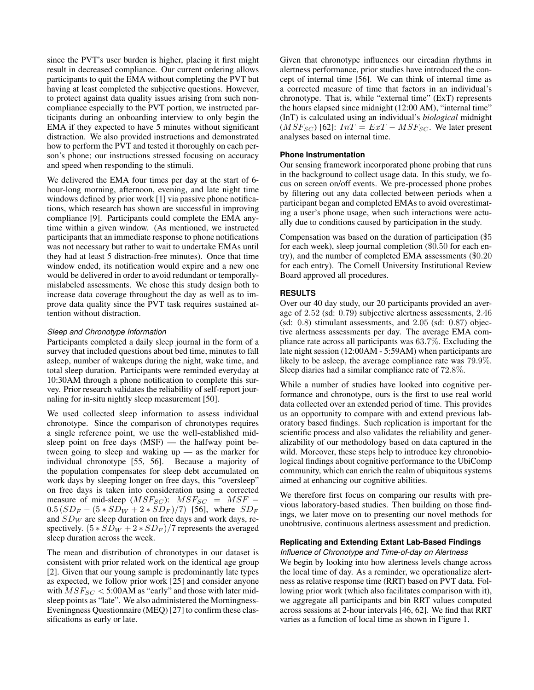since the PVT's user burden is higher, placing it first might result in decreased compliance. Our current ordering allows participants to quit the EMA without completing the PVT but having at least completed the subjective questions. However, to protect against data quality issues arising from such noncompliance especially to the PVT portion, we instructed participants during an onboarding interview to only begin the EMA if they expected to have 5 minutes without significant distraction. We also provided instructions and demonstrated how to perform the PVT and tested it thoroughly on each person's phone; our instructions stressed focusing on accuracy and speed when responding to the stimuli.

We delivered the EMA four times per day at the start of 6 hour-long morning, afternoon, evening, and late night time windows defined by prior work [\[1\]](#page-9-6) via passive phone notifications, which research has shown are successful in improving compliance [\[9\]](#page-9-7). Participants could complete the EMA anytime within a given window. (As mentioned, we instructed participants that an immediate response to phone notifications was not necessary but rather to wait to undertake EMAs until they had at least 5 distraction-free minutes). Once that time window ended, its notification would expire and a new one would be delivered in order to avoid redundant or temporallymislabeled assessments. We chose this study design both to increase data coverage throughout the day as well as to improve data quality since the PVT task requires sustained attention without distraction.

# *Sleep and Chronotype Information*

Participants completed a daily sleep journal in the form of a survey that included questions about bed time, minutes to fall asleep, number of wakeups during the night, wake time, and total sleep duration. Participants were reminded everyday at 10:30AM through a phone notification to complete this survey. Prior research validates the reliability of self-report journaling for in-situ nightly sleep measurement [\[50\]](#page-11-16).

We used collected sleep information to assess individual chronotype. Since the comparison of chronotypes requires a single reference point, we use the well-established midsleep point on free days (MSF) — the halfway point between going to sleep and waking up — as the marker for individual chronotype [\[55,](#page-11-9) [56\]](#page-11-17). Because a majority of the population compensates for sleep debt accumulated on work days by sleeping longer on free days, this "oversleep" on free days is taken into consideration using a corrected measure of mid-sleep  $(MSF_{SC})$ :  $MSF_{SC}$  =  $MSF 0.5 (SD_F - (5 * SD_W + 2 * SD_F)/7)$  [\[56\]](#page-11-17), where  $SD_F$ and  $SD_W$  are sleep duration on free days and work days, respectively.  $(5 * SD_W + 2 * SD_F)/7$  represents the averaged sleep duration across the week.

The mean and distribution of chronotypes in our dataset is consistent with prior related work on the identical age group [\[2\]](#page-9-3). Given that our young sample is predominantly late types as expected, we follow prior work [\[25\]](#page-10-10) and consider anyone with  $MSF_{SC}$  < 5:00AM as "early" and those with later midsleep points as "late". We also administered the Morningness-Eveningness Questionnaire (MEQ) [\[27\]](#page-10-9) to confirm these classifications as early or late.

Given that chronotype influences our circadian rhythms in alertness performance, prior studies have introduced the concept of internal time [\[56\]](#page-11-17). We can think of internal time as a corrected measure of time that factors in an individual's chronotype. That is, while "external time" (ExT) represents the hours elapsed since midnight (12:00 AM), "internal time" (InT) is calculated using an individual's *biological* midnight  $(MSF_{SC})$  [\[62\]](#page-11-4):  $InT = ExT - MSF_{SC}$ . We later present analyses based on internal time.

# **Phone Instrumentation**

Our sensing framework incorporated phone probing that runs in the background to collect usage data. In this study, we focus on screen on/off events. We pre-processed phone probes by filtering out any data collected between periods when a participant began and completed EMAs to avoid overestimating a user's phone usage, when such interactions were actually due to conditions caused by participation in the study.

Compensation was based on the duration of participation (\$5 for each week), sleep journal completion (\$0.50 for each entry), and the number of completed EMA assessments (\$0.20 for each entry). The Cornell University Institutional Review Board approved all procedures.

## **RESULTS**

Over our 40 day study, our 20 participants provided an average of 2.52 (sd: 0.79) subjective alertness assessments, 2.46 (sd: 0.8) stimulant assessments, and 2.05 (sd: 0.87) objective alertness assessments per day. The average EMA compliance rate across all participants was 63.7%. Excluding the late night session (12:00AM - 5:59AM) when participants are likely to be asleep, the average compliance rate was 79.9%. Sleep diaries had a similar compliance rate of 72.8%.

While a number of studies have looked into cognitive performance and chronotype, ours is the first to use real world data collected over an extended period of time. This provides us an opportunity to compare with and extend previous laboratory based findings. Such replication is important for the scientific process and also validates the reliability and generalizability of our methodology based on data captured in the wild. Moreover, these steps help to introduce key chronobiological findings about cognitive performance to the UbiComp community, which can enrich the realm of ubiquitous systems aimed at enhancing our cognitive abilities.

We therefore first focus on comparing our results with previous laboratory-based studies. Then building on those findings, we later move on to presenting our novel methods for unobtrusive, continuous alertness assessment and prediction.

# **Replicating and Extending Extant Lab-Based Findings**

*Influence of Chronotype and Time-of-day on Alertness* We begin by looking into how alertness levels change across the local time of day. As a reminder, we operationalize alertness as relative response time (RRT) based on PVT data. Following prior work (which also facilitates comparison with it), we aggregate all participants and bin RRT values computed across sessions at 2-hour intervals [\[46,](#page-11-6) [62\]](#page-11-4). We find that RRT varies as a function of local time as shown in Figure [1.](#page-4-0)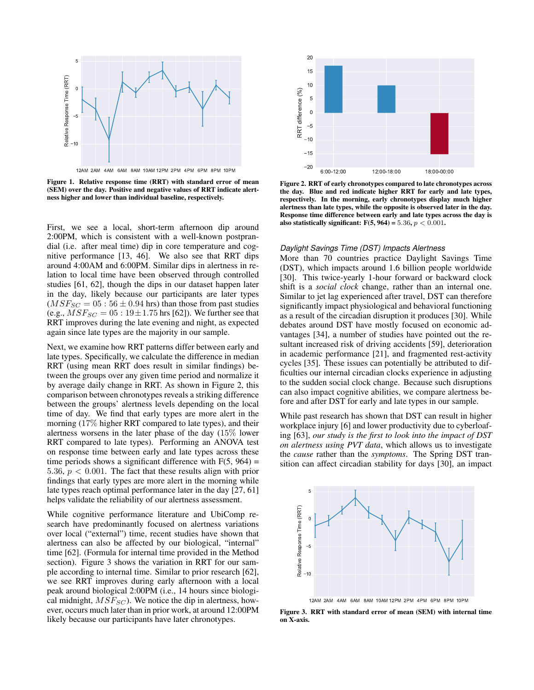

<span id="page-4-0"></span>Figure 1. Relative response time (RRT) with standard error of mean (SEM) over the day. Positive and negative values of RRT indicate alertness higher and lower than individual baseline, respectively.

First, we see a local, short-term afternoon dip around 2:00PM, which is consistent with a well-known postprandial (i.e. after meal time) dip in core temperature and cognitive performance [\[13,](#page-10-1) [46\]](#page-11-6). We also see that RRT dips around 4:00AM and 6:00PM. Similar dips in alertness in relation to local time have been observed through controlled studies [\[61,](#page-11-1) [62\]](#page-11-4), though the dips in our dataset happen later in the day, likely because our participants are later types  $(MSF<sub>SC</sub> = 05 : 56 \pm 0.94$  hrs) than those from past studies (e.g.,  $MSF_{SC} = 05 : 19 \pm 1.75$  hrs [\[62\]](#page-11-4)). We further see that RRT improves during the late evening and night, as expected again since late types are the majority in our sample.

Next, we examine how RRT patterns differ between early and late types. Specifically, we calculate the difference in median RRT (using mean RRT does result in similar findings) between the groups over any given time period and normalize it by average daily change in RRT. As shown in Figure [2,](#page-4-1) this comparison between chronotypes reveals a striking difference between the groups' alertness levels depending on the local time of day. We find that early types are more alert in the morning (17% higher RRT compared to late types), and their alertness worsens in the later phase of the day (15% lower RRT compared to late types). Performing an ANOVA test on response time between early and late types across these time periods shows a significant difference with  $F(5, 964) =$ 5.36,  $p < 0.001$ . The fact that these results align with prior findings that early types are more alert in the morning while late types reach optimal performance later in the day [\[27,](#page-10-9) [61\]](#page-11-1) helps validate the reliability of our alertness assessment.

While cognitive performance literature and UbiComp research have predominantly focused on alertness variations over local ("external") time, recent studies have shown that alertness can also be affected by our biological, "internal" time [\[62\]](#page-11-4). (Formula for internal time provided in the Method section). Figure [3](#page-4-2) shows the variation in RRT for our sample according to internal time. Similar to prior research [\[62\]](#page-11-4), we see RRT improves during early afternoon with a local peak around biological 2:00PM (i.e., 14 hours since biological midnight,  $MSF_{SC}$ ). We notice the dip in alertness, however, occurs much later than in prior work, at around 12:00PM likely because our participants have later chronotypes.



<span id="page-4-1"></span>Figure 2. RRT of early chronotypes compared to late chronotypes across the day. Blue and red indicate higher RRT for early and late types, respectively. In the morning, early chronotypes display much higher alertness than late types, while the opposite is observed later in the day. Response time difference between early and late types across the day is also statistically significant:  $F(5, 964) = 5.36, p < 0.001$ .

#### *Daylight Savings Time (DST) Impacts Alertness*

More than 70 countries practice Daylight Savings Time (DST), which impacts around 1.6 billion people worldwide [\[30\]](#page-10-18). This twice-yearly 1-hour forward or backward clock shift is a *social clock* change, rather than an internal one. Similar to jet lag experienced after travel, DST can therefore significantly impact physiological and behavioral functioning as a result of the circadian disruption it produces [\[30\]](#page-10-18). While debates around DST have mostly focused on economic advantages [\[34\]](#page-10-19), a number of studies have pointed out the resultant increased risk of driving accidents [\[59\]](#page-11-18), deterioration in academic performance [\[21\]](#page-10-20), and fragmented rest-activity cycles [\[35\]](#page-10-21). These issues can potentially be attributed to difficulties our internal circadian clocks experience in adjusting to the sudden social clock change. Because such disruptions can also impact cognitive abilities, we compare alertness before and after DST for early and late types in our sample.

While past research has shown that DST can result in higher workplace injury [\[6\]](#page-9-8) and lower productivity due to cyberloafing [\[63\]](#page-11-14), *our study is the first to look into the impact of DST on alertness using PVT data*, which allows us to investigate the *cause* rather than the *symptoms*. The Spring DST transition can affect circadian stability for days [\[30\]](#page-10-18), an impact



<span id="page-4-2"></span>Figure 3. RRT with standard error of mean (SEM) with internal time on X-axis.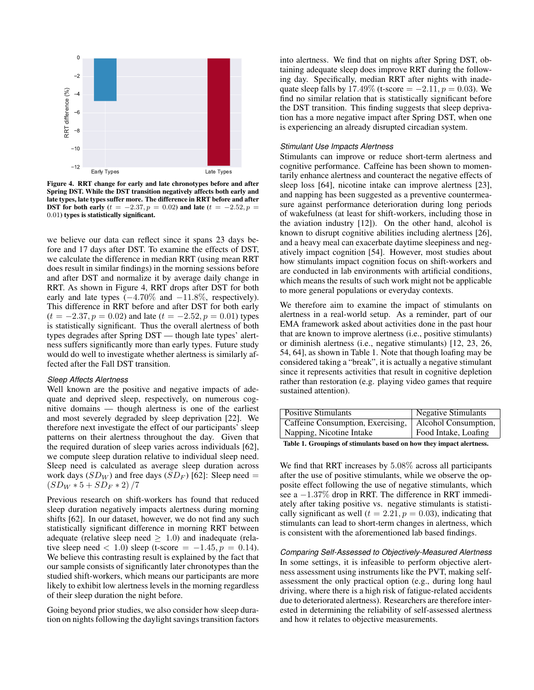

<span id="page-5-0"></span>Figure 4. RRT change for early and late chronotypes before and after Spring DST. While the DST transition negatively affects both early and late types, late types suffer more. The difference in RRT before and after DST for both early (t =  $-2.37, p = 0.02$ ) and late (t =  $-2.52, p =$ 0.01) types is statistically significant.

we believe our data can reflect since it spans 23 days before and 17 days after DST. To examine the effects of DST, we calculate the difference in median RRT (using mean RRT does result in similar findings) in the morning sessions before and after DST and normalize it by average daily change in RRT. As shown in Figure [4,](#page-5-0) RRT drops after DST for both early and late types  $(-4.70\%$  and  $-11.8\%$ , respectively). This difference in RRT before and after DST for both early  $(t = -2.37, p = 0.02)$  and late  $(t = -2.52, p = 0.01)$  types is statistically significant. Thus the overall alertness of both types degrades after Spring DST — though late types' alertness suffers significantly more than early types. Future study would do well to investigate whether alertness is similarly affected after the Fall DST transition.

#### *Sleep Affects Alertness*

Well known are the positive and negative impacts of adequate and deprived sleep, respectively, on numerous cognitive domains — though alertness is one of the earliest and most severely degraded by sleep deprivation [\[22\]](#page-10-11). We therefore next investigate the effect of our participants' sleep patterns on their alertness throughout the day. Given that the required duration of sleep varies across individuals [\[62\]](#page-11-4), we compute sleep duration relative to individual sleep need. Sleep need is calculated as average sleep duration across work days  $(SD_W)$  and free days  $(SD_F)$  [\[62\]](#page-11-4): Sleep need =  $(SD_W * 5 + SD_F * 2)/7$ 

Previous research on shift-workers has found that reduced sleep duration negatively impacts alertness during morning shifts [\[62\]](#page-11-4). In our dataset, however, we do not find any such statistically significant difference in morning RRT between adequate (relative sleep need  $\geq 1.0$ ) and inadequate (relative sleep need  $< 1.0$ ) sleep (t-score =  $-1.45, p = 0.14$ ). We believe this contrasting result is explained by the fact that our sample consists of significantly later chronotypes than the studied shift-workers, which means our participants are more likely to exhibit low alertness levels in the morning regardless of their sleep duration the night before.

Going beyond prior studies, we also consider how sleep duration on nights following the daylight savings transition factors into alertness. We find that on nights after Spring DST, obtaining adequate sleep does improve RRT during the following day. Specifically, median RRT after nights with inadequate sleep falls by 17.49% (t-score =  $-2.11, p = 0.03$ ). We find no similar relation that is statistically significant before the DST transition. This finding suggests that sleep deprivation has a more negative impact after Spring DST, when one is experiencing an already disrupted circadian system.

#### *Stimulant Use Impacts Alertness*

Stimulants can improve or reduce short-term alertness and cognitive performance. Caffeine has been shown to momentarily enhance alertness and counteract the negative effects of sleep loss [\[64\]](#page-12-0), nicotine intake can improve alertness [\[23\]](#page-10-15), and napping has been suggested as a preventive countermeasure against performance deterioration during long periods of wakefulness (at least for shift-workers, including those in the aviation industry [\[12\]](#page-10-14)). On the other hand, alcohol is known to disrupt cognitive abilities including alertness [\[26\]](#page-10-16), and a heavy meal can exacerbate daytime sleepiness and negatively impact cognition [\[54\]](#page-11-13). However, most studies about how stimulants impact cognition focus on shift-workers and are conducted in lab environments with artificial conditions, which means the results of such work might not be applicable to more general populations or everyday contexts.

We therefore aim to examine the impact of stimulants on alertness in a real-world setup. As a reminder, part of our EMA framework asked about activities done in the past hour that are known to improve alertness (i.e., positive stimulants) or diminish alertness (i.e., negative stimulants) [\[12,](#page-10-14) [23,](#page-10-15) [26,](#page-10-16) [54,](#page-11-13) [64\]](#page-12-0), as shown in Table [1.](#page-5-1) Note that though loafing may be considered taking a "break", it is actually a negative stimulant since it represents activities that result in cognitive depletion rather than restoration (e.g. playing video games that require sustained attention).

| <b>Positive Stimulants</b>        | <b>Negative Stimulants</b> |  |
|-----------------------------------|----------------------------|--|
| Caffeine Consumption, Exercising, | Alcohol Consumption,       |  |
| Napping, Nicotine Intake          | Food Intake, Loafing       |  |
|                                   |                            |  |

<span id="page-5-1"></span>Table 1. Groupings of stimulants based on how they impact alertness.

We find that RRT increases by 5.08\% across all participants after the use of positive stimulants, while we observe the opposite effect following the use of negative stimulants, which see a −1.37% drop in RRT. The difference in RRT immediately after taking positive vs. negative stimulants is statistically significant as well ( $t = 2.21$ ,  $p = 0.03$ ), indicating that stimulants can lead to short-term changes in alertness, which is consistent with the aforementioned lab based findings.

*Comparing Self-Assessed to Objectively-Measured Alertness* In some settings, it is infeasible to perform objective alertness assessment using instruments like the PVT, making selfassessment the only practical option (e.g., during long haul driving, where there is a high risk of fatigue-related accidents due to deteriorated alertness). Researchers are therefore interested in determining the reliability of self-assessed alertness and how it relates to objective measurements.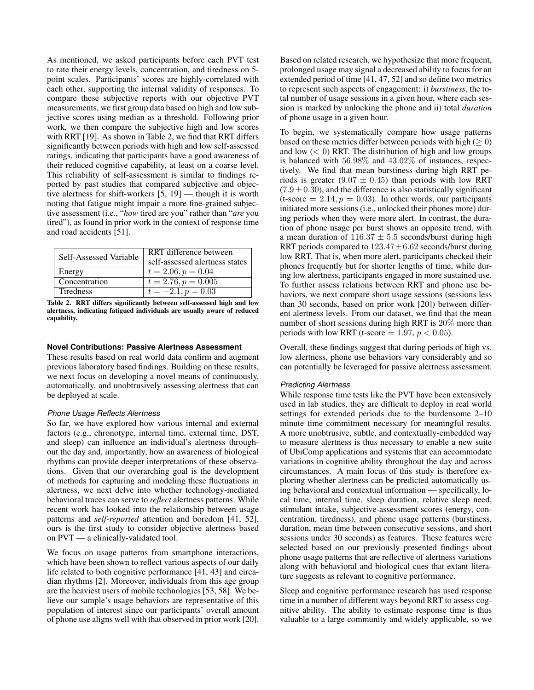As mentioned, we asked participants before each PVT test to rate their energy levels, concentration, and tiredness on 5 point scales. Participants' scores are highly-correlated with each other, supporting the internal validity of responses. To compare these subjective reports with our objective PVT measurements, we first group data based on high and low subjective scores using median as a threshold. Following prior work, we then compare the subjective high and low scores with RRT [\[19\]](#page-10-22). As shown in Table [2,](#page-6-0) we find that RRT differs significantly between periods with high and low self-assessed ratings, indicating that participants have a good awareness of their reduced cognitive capability, at least on a coarse level. This reliability of self-assessment is similar to findings reported by past studies that compared subjective and objective alertness for shift-workers [\[5,](#page-9-9) [19\]](#page-10-22) — though it is worth noting that fatigue might impair a more fine-grained subjective assessment (i.e., "*how* tired are you" rather than "*are* you tired"), as found in prior work in the context of response time and road accidents [\[51\]](#page-11-19).

| Self-Assessed Variable | RRT difference between<br>self-assessed alertness states |
|------------------------|----------------------------------------------------------|
| Energy                 | $t = 2.06, p = 0.04$                                     |
| Concentration          | $t = 2.76, p = 0.005$                                    |
| <b>Tiredness</b>       | $t = -2.1, p = 0.03$                                     |

<span id="page-6-0"></span>Table 2. RRT differs significantly between self-assessed high and low alertness, indicating fatigued individuals are usually aware of reduced capability.

## **Novel Contributions: Passive Alertness Assessment**

These results based on real world data confirm and augment previous laboratory based findings. Building on these results, we next focus on developing a novel means of continuously, automatically, and unobtrusively assessing alertness that can be deployed at scale.

## *Phone Usage Reflects Alertness*

So far, we have explored how various internal and external factors (e.g., chronotype, internal time, external time, DST, and sleep) can influence an individual's alertness throughout the day and, importantly, how an awareness of biological rhythms can provide deeper interpretations of these observations. Given that our overarching goal is the development of methods for capturing and modeling these fluctuations in alertness, we next delve into whether technology-mediated behavioral traces can serve to *reflect* alertness patterns. While recent work has looked into the relationship between usage patterns and *self-reported* attention and boredom [\[41,](#page-11-2) [52\]](#page-11-3), ours is the first study to consider objective alertness based on PVT — a clinically-validated tool.

We focus on usage patterns from smartphone interactions, which have been shown to reflect various aspects of our daily life related to both cognitive performance [\[41,](#page-11-2) [43\]](#page-11-5) and circadian rhythms [\[2\]](#page-9-3). Moreover, individuals from this age group are the heaviest users of mobile technologies [\[53,](#page-11-20) [58\]](#page-11-11). We believe our sample's usage behaviors are representative of this population of interest since our participants' overall amount of phone use aligns well with that observed in prior work [\[20\]](#page-10-23).

Based on related research, we hypothesize that more frequent, prolonged usage may signal a decreased ability to focus for an extended period of time [\[41,](#page-11-2) [47,](#page-11-8) [52\]](#page-11-3) and so define two metrics to represent such aspects of engagement: i) *burstiness*, the total number of usage sessions in a given hour, where each session is marked by unlocking the phone and ii) total *duration* of phone usage in a given hour.

To begin, we systematically compare how usage patterns based on these metrics differ between periods with high ( $\geq 0$ ) and low  $(< 0)$  RRT. The distribution of high and low groups is balanced with 56.98% and 43.02% of instances, respectively. We find that mean burstiness during high RRT periods is greater (9.07  $\pm$  0.45) than periods with low RRT  $(7.9 \pm 0.30)$ , and the difference is also statistically significant  $(t\text{-score} = 2.14, p = 0.03)$ . In other words, our participants initiated more sessions (i.e., unlocked their phones more) during periods when they were more alert. In contrast, the duration of phone usage per burst shows an opposite trend, with a mean duration of  $116.37 \pm 5.5$  seconds/burst during high RRT periods compared to  $123.47 \pm 6.62$  seconds/burst during low RRT. That is, when more alert, participants checked their phones frequently but for shorter lengths of time, while during low alertness, participants engaged in more sustained use. To further assess relations between RRT and phone use behaviors, we next compare short usage sessions (sessions less than 30 seconds, based on prior work [\[20\]](#page-10-23)) between different alertness levels. From our dataset, we find that the mean number of short sessions during high RRT is 20% more than periods with low RRT (t-score  $= 1.97, p < 0.05$ ).

Overall, these findings suggest that during periods of high vs. low alertness, phone use behaviors vary considerably and so can potentially be leveraged for passive alertness assessment.

# *Predicting Alertness*

While response time tests like the PVT have been extensively used in lab studies, they are difficult to deploy in real world settings for extended periods due to the burdensome 2–10 minute time commitment necessary for meaningful results. A more unobtrusive, subtle, and contextually-embedded way to measure alertness is thus necessary to enable a new suite of UbiComp applications and systems that can accommodate variations in cognitive ability throughout the day and across circumstances. A main focus of this study is therefore exploring whether alertness can be predicted automatically using behavioral and contextual information — specifically, local time, internal time, sleep duration, relative sleep need, stimulant intake, subjective-assessment scores (energy, concentration, tiredness), and phone usage patterns (burstiness, duration, mean time between consecutive sessions, and short sessions under 30 seconds) as features. These features were selected based on our previously presented findings about phone usage patterns that are reflective of alertness variations along with behavioral and biological cues that extant literature suggests as relevant to cognitive performance.

Sleep and cognitive performance research has used response time in a number of different ways beyond RRT to assess cognitive ability. The ability to estimate response time is thus valuable to a large community and widely applicable, so we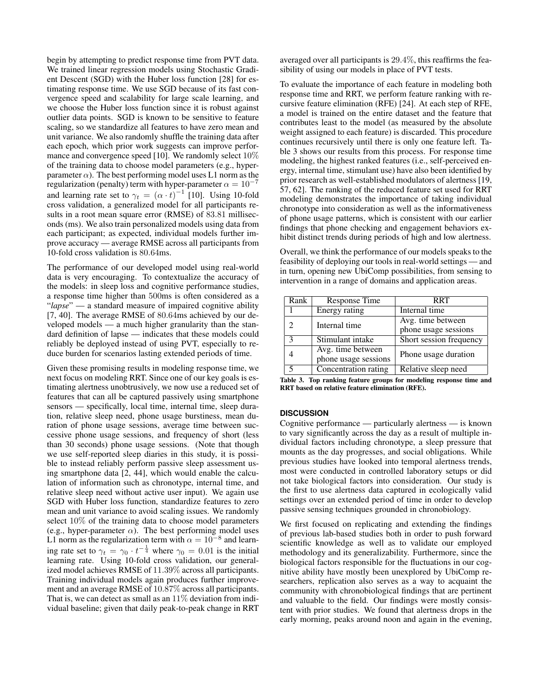begin by attempting to predict response time from PVT data. We trained linear regression models using Stochastic Gradient Descent (SGD) with the Huber loss function [\[28\]](#page-10-24) for estimating response time. We use SGD because of its fast convergence speed and scalability for large scale learning, and we choose the Huber loss function since it is robust against outlier data points. SGD is known to be sensitive to feature scaling, so we standardize all features to have zero mean and unit variance. We also randomly shuffle the training data after each epoch, which prior work suggests can improve performance and convergence speed [\[10\]](#page-9-10). We randomly select 10% of the training data to choose model parameters (e.g., hyperparameter  $\alpha$ ). The best performing model uses L1 norm as the regularization (penalty) term with hyper-parameter  $\alpha = 10^{-7}$ and learning rate set to  $\gamma_t = (\alpha \cdot t)^{-1}$  [\[10\]](#page-9-10). Using 10-fold cross validation, a generalized model for all participants results in a root mean square error (RMSE) of 83.81 milliseconds (ms). We also train personalized models using data from each participant; as expected, individual models further improve accuracy — average RMSE across all participants from 10-fold cross validation is 80.64ms.

The performance of our developed model using real-world data is very encouraging. To contextualize the accuracy of the models: in sleep loss and cognitive performance studies, a response time higher than 500ms is often considered as a "*lapse*" — a standard measure of impaired cognitive ability [\[7,](#page-9-2) [40\]](#page-11-15). The average RMSE of 80.64ms achieved by our developed models — a much higher granularity than the standard definition of lapse — indicates that these models could reliably be deployed instead of using PVT, especially to reduce burden for scenarios lasting extended periods of time.

Given these promising results in modeling response time, we next focus on modeling RRT. Since one of our key goals is estimating alertness unobtrusively, we now use a reduced set of features that can all be captured passively using smartphone sensors — specifically, local time, internal time, sleep duration, relative sleep need, phone usage burstiness, mean duration of phone usage sessions, average time between successive phone usage sessions, and frequency of short (less than 30 seconds) phone usage sessions. (Note that though we use self-reported sleep diaries in this study, it is possible to instead reliably perform passive sleep assessment using smartphone data [\[2,](#page-9-3) [44\]](#page-11-21), which would enable the calculation of information such as chronotype, internal time, and relative sleep need without active user input). We again use SGD with Huber loss function, standardize features to zero mean and unit variance to avoid scaling issues. We randomly select 10% of the training data to choose model parameters (e.g., hyper-parameter  $\alpha$ ). The best performing model uses L1 norm as the regularization term with  $\alpha = 10^{-8}$  and learning rate set to  $\gamma_t = \gamma_0 \cdot t^{-\frac{1}{4}}$  where  $\gamma_0 = 0.01$  is the initial learning rate. Using 10-fold cross validation, our generalized model achieves RMSE of 11.39% across all participants. Training individual models again produces further improvement and an average RMSE of 10.87% across all participants. That is, we can detect as small as an  $11\%$  deviation from individual baseline; given that daily peak-to-peak change in RRT

averaged over all participants is 29.4%, this reaffirms the feasibility of using our models in place of PVT tests.

To evaluate the importance of each feature in modeling both response time and RRT, we perform feature ranking with recursive feature elimination (RFE) [\[24\]](#page-10-25). At each step of RFE, a model is trained on the entire dataset and the feature that contributes least to the model (as measured by the absolute weight assigned to each feature) is discarded. This procedure continues recursively until there is only one feature left. Table [3](#page-7-0) shows our results from this process. For response time modeling, the highest ranked features (i.e., self-perceived energy, internal time, stimulant use) have also been identified by prior research as well-established modulators of alertness [\[19,](#page-10-22) [57,](#page-11-0) [62\]](#page-11-4). The ranking of the reduced feature set used for RRT modeling demonstrates the importance of taking individual chronotype into consideration as well as the informativeness of phone usage patterns, which is consistent with our earlier findings that phone checking and engagement behaviors exhibit distinct trends during periods of high and low alertness.

Overall, we think the performance of our models speaks to the feasibility of deploying our tools in real-world settings — and in turn, opening new UbiComp possibilities, from sensing to intervention in a range of domains and application areas.

| Rank              | Response Time                             | <b>RRT</b>              |
|-------------------|-------------------------------------------|-------------------------|
|                   | Energy rating                             | Internal time           |
| Internal time     | Avg. time between                         |                         |
|                   | phone usage sessions                      |                         |
| $\mathbf{\Omega}$ | Stimulant intake                          | Short session frequency |
|                   | Avg. time between<br>phone usage sessions | Phone usage duration    |
| 5                 | <b>Concentration rating</b>               | Relative sleep need     |

<span id="page-7-0"></span>Table 3. Top ranking feature groups for modeling response time and RRT based on relative feature elimination (RFE).

# **DISCUSSION**

Cognitive performance — particularly alertness — is known to vary significantly across the day as a result of multiple individual factors including chronotype, a sleep pressure that mounts as the day progresses, and social obligations. While previous studies have looked into temporal alertness trends, most were conducted in controlled laboratory setups or did not take biological factors into consideration. Our study is the first to use alertness data captured in ecologically valid settings over an extended period of time in order to develop passive sensing techniques grounded in chronobiology.

We first focused on replicating and extending the findings of previous lab-based studies both in order to push forward scientific knowledge as well as to validate our employed methodology and its generalizability. Furthermore, since the biological factors responsible for the fluctuations in our cognitive ability have mostly been unexplored by UbiComp researchers, replication also serves as a way to acquaint the community with chronobiological findings that are pertinent and valuable to the field. Our findings were mostly consistent with prior studies. We found that alertness drops in the early morning, peaks around noon and again in the evening,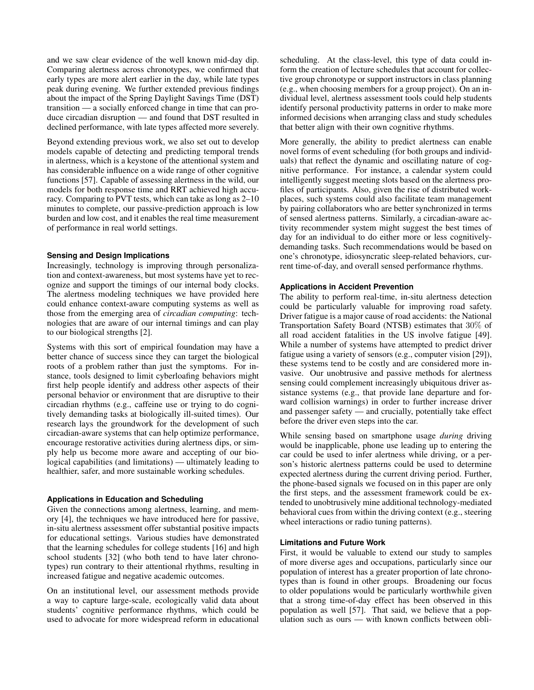and we saw clear evidence of the well known mid-day dip. Comparing alertness across chronotypes, we confirmed that early types are more alert earlier in the day, while late types peak during evening. We further extended previous findings about the impact of the Spring Daylight Savings Time (DST) transition — a socially enforced change in time that can produce circadian disruption — and found that DST resulted in declined performance, with late types affected more severely.

Beyond extending previous work, we also set out to develop models capable of detecting and predicting temporal trends in alertness, which is a keystone of the attentional system and has considerable influence on a wide range of other cognitive functions [\[57\]](#page-11-0). Capable of assessing alertness in the wild, our models for both response time and RRT achieved high accuracy. Comparing to PVT tests, which can take as long as 2–10 minutes to complete, our passive-prediction approach is low burden and low cost, and it enables the real time measurement of performance in real world settings.

# **Sensing and Design Implications**

Increasingly, technology is improving through personalization and context-awareness, but most systems have yet to recognize and support the timings of our internal body clocks. The alertness modeling techniques we have provided here could enhance context-aware computing systems as well as those from the emerging area of *circadian computing*: technologies that are aware of our internal timings and can play to our biological strengths [\[2\]](#page-9-3).

Systems with this sort of empirical foundation may have a better chance of success since they can target the biological roots of a problem rather than just the symptoms. For instance, tools designed to limit cyberloafing behaviors might first help people identify and address other aspects of their personal behavior or environment that are disruptive to their circadian rhythms (e.g., caffeine use or trying to do cognitively demanding tasks at biologically ill-suited times). Our research lays the groundwork for the development of such circadian-aware systems that can help optimize performance, encourage restorative activities during alertness dips, or simply help us become more aware and accepting of our biological capabilities (and limitations) — ultimately leading to healthier, safer, and more sustainable working schedules.

## **Applications in Education and Scheduling**

Given the connections among alertness, learning, and memory [\[4\]](#page-9-1), the techniques we have introduced here for passive, in-situ alertness assessment offer substantial positive impacts for educational settings. Various studies have demonstrated that the learning schedules for college students [\[16\]](#page-10-26) and high school students [\[32\]](#page-10-2) (who both tend to have later chronotypes) run contrary to their attentional rhythms, resulting in increased fatigue and negative academic outcomes.

On an institutional level, our assessment methods provide a way to capture large-scale, ecologically valid data about students' cognitive performance rhythms, which could be used to advocate for more widespread reform in educational scheduling. At the class-level, this type of data could inform the creation of lecture schedules that account for collective group chronotype or support instructors in class planning (e.g., when choosing members for a group project). On an individual level, alertness assessment tools could help students identify personal productivity patterns in order to make more informed decisions when arranging class and study schedules that better align with their own cognitive rhythms.

More generally, the ability to predict alertness can enable novel forms of event scheduling (for both groups and individuals) that reflect the dynamic and oscillating nature of cognitive performance. For instance, a calendar system could intelligently suggest meeting slots based on the alertness profiles of participants. Also, given the rise of distributed workplaces, such systems could also facilitate team management by pairing collaborators who are better synchronized in terms of sensed alertness patterns. Similarly, a circadian-aware activity recommender system might suggest the best times of day for an individual to do either more or less cognitivelydemanding tasks. Such recommendations would be based on one's chronotype, idiosyncratic sleep-related behaviors, current time-of-day, and overall sensed performance rhythms.

# **Applications in Accident Prevention**

The ability to perform real-time, in-situ alertness detection could be particularly valuable for improving road safety. Driver fatigue is a major cause of road accidents: the National Transportation Safety Board (NTSB) estimates that 30% of all road accident fatalities in the US involve fatigue [\[49\]](#page-11-22). While a number of systems have attempted to predict driver fatigue using a variety of sensors (e.g., computer vision [\[29\]](#page-10-27)), these systems tend to be costly and are considered more invasive. Our unobtrusive and passive methods for alertness sensing could complement increasingly ubiquitous driver assistance systems (e.g., that provide lane departure and forward collision warnings) in order to further increase driver and passenger safety — and crucially, potentially take effect before the driver even steps into the car.

While sensing based on smartphone usage *during* driving would be inapplicable, phone use leading up to entering the car could be used to infer alertness while driving, or a person's historic alertness patterns could be used to determine expected alertness during the current driving period. Further, the phone-based signals we focused on in this paper are only the first steps, and the assessment framework could be extended to unobtrusively mine additional technology-mediated behavioral cues from within the driving context (e.g., steering wheel interactions or radio tuning patterns).

## **Limitations and Future Work**

First, it would be valuable to extend our study to samples of more diverse ages and occupations, particularly since our population of interest has a greater proportion of late chronotypes than is found in other groups. Broadening our focus to older populations would be particularly worthwhile given that a strong time-of-day effect has been observed in this population as well [\[57\]](#page-11-0). That said, we believe that a population such as ours — with known conflicts between obli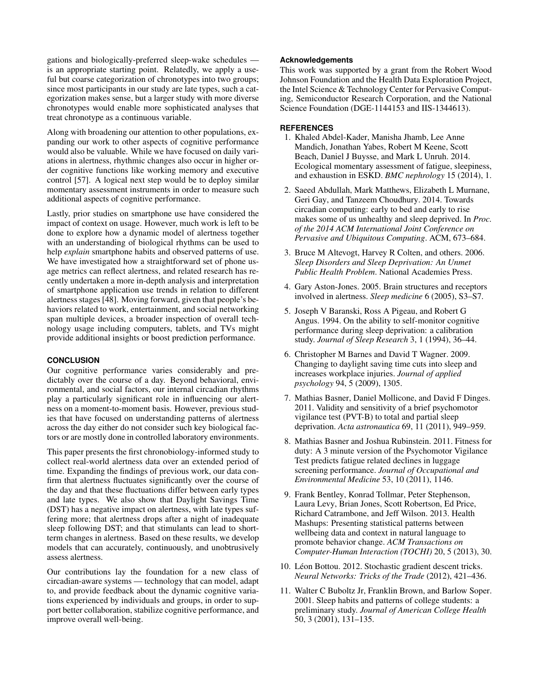gations and biologically-preferred sleep-wake schedules is an appropriate starting point. Relatedly, we apply a useful but coarse categorization of chronotypes into two groups; since most participants in our study are late types, such a categorization makes sense, but a larger study with more diverse chronotypes would enable more sophisticated analyses that treat chronotype as a continuous variable.

Along with broadening our attention to other populations, expanding our work to other aspects of cognitive performance would also be valuable. While we have focused on daily variations in alertness, rhythmic changes also occur in higher order cognitive functions like working memory and executive control [\[57\]](#page-11-0). A logical next step would be to deploy similar momentary assessment instruments in order to measure such additional aspects of cognitive performance.

Lastly, prior studies on smartphone use have considered the impact of context on usage. However, much work is left to be done to explore how a dynamic model of alertness together with an understanding of biological rhythms can be used to help *explain* smartphone habits and observed patterns of use. We have investigated how a straightforward set of phone usage metrics can reflect alertness, and related research has recently undertaken a more in-depth analysis and interpretation of smartphone application use trends in relation to different alertness stages [\[48\]](#page-11-23). Moving forward, given that people's behaviors related to work, entertainment, and social networking span multiple devices, a broader inspection of overall technology usage including computers, tablets, and TVs might provide additional insights or boost prediction performance.

# **CONCLUSION**

Our cognitive performance varies considerably and predictably over the course of a day. Beyond behavioral, environmental, and social factors, our internal circadian rhythms play a particularly significant role in influencing our alertness on a moment-to-moment basis. However, previous studies that have focused on understanding patterns of alertness across the day either do not consider such key biological factors or are mostly done in controlled laboratory environments.

This paper presents the first chronobiology-informed study to collect real-world alertness data over an extended period of time. Expanding the findings of previous work, our data confirm that alertness fluctuates significantly over the course of the day and that these fluctuations differ between early types and late types. We also show that Daylight Savings Time (DST) has a negative impact on alertness, with late types suffering more; that alertness drops after a night of inadequate sleep following DST; and that stimulants can lead to shortterm changes in alertness. Based on these results, we develop models that can accurately, continuously, and unobtrusively assess alertness.

Our contributions lay the foundation for a new class of circadian-aware systems — technology that can model, adapt to, and provide feedback about the dynamic cognitive variations experienced by individuals and groups, in order to support better collaboration, stabilize cognitive performance, and improve overall well-being.

# **Acknowledgements**

This work was supported by a grant from the Robert Wood Johnson Foundation and the Health Data Exploration Project, the Intel Science & Technology Center for Pervasive Computing, Semiconductor Research Corporation, and the National Science Foundation (DGE-1144153 and IIS-1344613).

## <span id="page-9-6"></span>**REFERENCES**

- 1. Khaled Abdel-Kader, Manisha Jhamb, Lee Anne Mandich, Jonathan Yabes, Robert M Keene, Scott Beach, Daniel J Buysse, and Mark L Unruh. 2014. Ecological momentary assessment of fatigue, sleepiness, and exhaustion in ESKD. *BMC nephrology* 15 (2014), 1.
- <span id="page-9-3"></span>2. Saeed Abdullah, Mark Matthews, Elizabeth L Murnane, Geri Gay, and Tanzeem Choudhury. 2014. Towards circadian computing: early to bed and early to rise makes some of us unhealthy and sleep deprived. In *Proc. of the 2014 ACM International Joint Conference on Pervasive and Ubiquitous Computing*. ACM, 673–684.
- <span id="page-9-0"></span>3. Bruce M Altevogt, Harvey R Colten, and others. 2006. *Sleep Disorders and Sleep Deprivation: An Unmet Public Health Problem*. National Academies Press.
- <span id="page-9-1"></span>4. Gary Aston-Jones. 2005. Brain structures and receptors involved in alertness. *Sleep medicine* 6 (2005), S3–S7.
- <span id="page-9-9"></span>5. Joseph V Baranski, Ross A Pigeau, and Robert G Angus. 1994. On the ability to self-monitor cognitive performance during sleep deprivation: a calibration study. *Journal of Sleep Research* 3, 1 (1994), 36–44.
- <span id="page-9-8"></span>6. Christopher M Barnes and David T Wagner. 2009. Changing to daylight saving time cuts into sleep and increases workplace injuries. *Journal of applied psychology* 94, 5 (2009), 1305.
- <span id="page-9-2"></span>7. Mathias Basner, Daniel Mollicone, and David F Dinges. 2011. Validity and sensitivity of a brief psychomotor vigilance test (PVT-B) to total and partial sleep deprivation. *Acta astronautica* 69, 11 (2011), 949–959.
- <span id="page-9-5"></span>8. Mathias Basner and Joshua Rubinstein. 2011. Fitness for duty: A 3 minute version of the Psychomotor Vigilance Test predicts fatigue related declines in luggage screening performance. *Journal of Occupational and Environmental Medicine* 53, 10 (2011), 1146.
- <span id="page-9-7"></span>9. Frank Bentley, Konrad Tollmar, Peter Stephenson, Laura Levy, Brian Jones, Scott Robertson, Ed Price, Richard Catrambone, and Jeff Wilson. 2013. Health Mashups: Presenting statistical patterns between wellbeing data and context in natural language to promote behavior change. *ACM Transactions on Computer-Human Interaction (TOCHI)* 20, 5 (2013), 30.
- <span id="page-9-10"></span>10. Léon Bottou. 2012. Stochastic gradient descent tricks. *Neural Networks: Tricks of the Trade* (2012), 421–436.
- <span id="page-9-4"></span>11. Walter C Buboltz Jr, Franklin Brown, and Barlow Soper. 2001. Sleep habits and patterns of college students: a preliminary study. *Journal of American College Health* 50, 3 (2001), 131–135.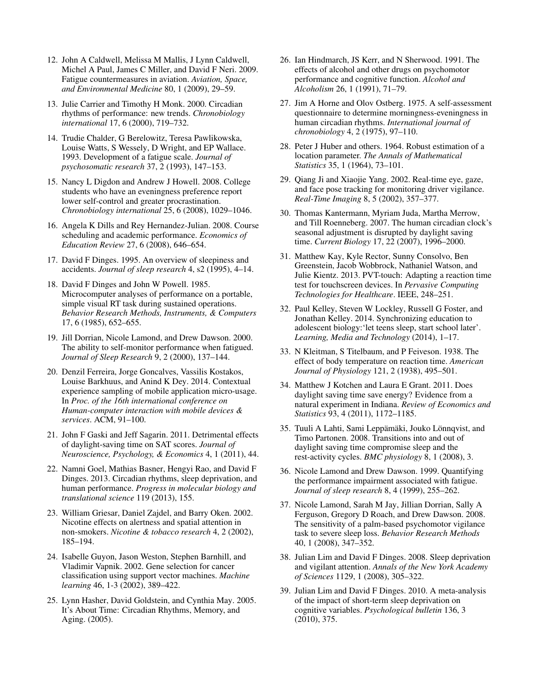- <span id="page-10-14"></span>12. John A Caldwell, Melissa M Mallis, J Lynn Caldwell, Michel A Paul, James C Miller, and David F Neri. 2009. Fatigue countermeasures in aviation. *Aviation, Space, and Environmental Medicine* 80, 1 (2009), 29–59.
- <span id="page-10-1"></span>13. Julie Carrier and Timothy H Monk. 2000. Circadian rhythms of performance: new trends. *Chronobiology international* 17, 6 (2000), 719–732.
- <span id="page-10-13"></span>14. Trudie Chalder, G Berelowitz, Teresa Pawlikowska, Louise Watts, S Wessely, D Wright, and EP Wallace. 1993. Development of a fatigue scale. *Journal of psychosomatic research* 37, 2 (1993), 147–153.
- <span id="page-10-12"></span>15. Nancy L Digdon and Andrew J Howell. 2008. College students who have an eveningness preference report lower self-control and greater procrastination. *Chronobiology international* 25, 6 (2008), 1029–1046.
- <span id="page-10-26"></span>16. Angela K Dills and Rey Hernandez-Julian. 2008. Course scheduling and academic performance. *Economics of Education Review* 27, 6 (2008), 646–654.
- <span id="page-10-3"></span>17. David F Dinges. 1995. An overview of sleepiness and accidents. *Journal of sleep research* 4, s2 (1995), 4–14.
- <span id="page-10-4"></span>18. David F Dinges and John W Powell. 1985. Microcomputer analyses of performance on a portable, simple visual RT task during sustained operations. *Behavior Research Methods, Instruments, & Computers* 17, 6 (1985), 652–655.
- <span id="page-10-22"></span>19. Jill Dorrian, Nicole Lamond, and Drew Dawson. 2000. The ability to self-monitor performance when fatigued. *Journal of Sleep Research* 9, 2 (2000), 137–144.
- <span id="page-10-23"></span>20. Denzil Ferreira, Jorge Goncalves, Vassilis Kostakos, Louise Barkhuus, and Anind K Dey. 2014. Contextual experience sampling of mobile application micro-usage. In *Proc. of the 16th international conference on Human-computer interaction with mobile devices & services*. ACM, 91–100.
- <span id="page-10-20"></span>21. John F Gaski and Jeff Sagarin. 2011. Detrimental effects of daylight-saving time on SAT scores. *Journal of Neuroscience, Psychology, & Economics* 4, 1 (2011), 44.
- <span id="page-10-11"></span>22. Namni Goel, Mathias Basner, Hengyi Rao, and David F Dinges. 2013. Circadian rhythms, sleep deprivation, and human performance. *Progress in molecular biology and translational science* 119 (2013), 155.
- <span id="page-10-15"></span>23. William Griesar, Daniel Zajdel, and Barry Oken. 2002. Nicotine effects on alertness and spatial attention in non-smokers. *Nicotine & tobacco research* 4, 2 (2002), 185–194.
- <span id="page-10-25"></span>24. Isabelle Guyon, Jason Weston, Stephen Barnhill, and Vladimir Vapnik. 2002. Gene selection for cancer classification using support vector machines. *Machine learning* 46, 1-3 (2002), 389–422.
- <span id="page-10-10"></span>25. Lynn Hasher, David Goldstein, and Cynthia May. 2005. It's About Time: Circadian Rhythms, Memory, and Aging. (2005).
- <span id="page-10-16"></span>26. Ian Hindmarch, JS Kerr, and N Sherwood. 1991. The effects of alcohol and other drugs on psychomotor performance and cognitive function. *Alcohol and Alcoholism* 26, 1 (1991), 71–79.
- <span id="page-10-9"></span>27. Jim A Horne and Olov Ostberg. 1975. A self-assessment questionnaire to determine morningness-eveningness in human circadian rhythms. *International journal of chronobiology* 4, 2 (1975), 97–110.
- <span id="page-10-24"></span>28. Peter J Huber and others. 1964. Robust estimation of a location parameter. *The Annals of Mathematical Statistics* 35, 1 (1964), 73–101.
- <span id="page-10-27"></span>29. Qiang Ji and Xiaojie Yang. 2002. Real-time eye, gaze, and face pose tracking for monitoring driver vigilance. *Real-Time Imaging* 8, 5 (2002), 357–377.
- <span id="page-10-18"></span>30. Thomas Kantermann, Myriam Juda, Martha Merrow, and Till Roenneberg. 2007. The human circadian clock's seasonal adjustment is disrupted by daylight saving time. *Current Biology* 17, 22 (2007), 1996–2000.
- <span id="page-10-5"></span>31. Matthew Kay, Kyle Rector, Sunny Consolvo, Ben Greenstein, Jacob Wobbrock, Nathaniel Watson, and Julie Kientz. 2013. PVT-touch: Adapting a reaction time test for touchscreen devices. In *Pervasive Computing Technologies for Healthcare*. IEEE, 248–251.
- <span id="page-10-2"></span>32. Paul Kelley, Steven W Lockley, Russell G Foster, and Jonathan Kelley. 2014. Synchronizing education to adolescent biology:'let teens sleep, start school later'. *Learning, Media and Technology* (2014), 1–17.
- <span id="page-10-7"></span>33. N Kleitman, S Titelbaum, and P Feiveson. 1938. The effect of body temperature on reaction time. *American Journal of Physiology* 121, 2 (1938), 495–501.
- <span id="page-10-19"></span>34. Matthew J Kotchen and Laura E Grant. 2011. Does daylight saving time save energy? Evidence from a natural experiment in Indiana. *Review of Economics and Statistics* 93, 4 (2011), 1172–1185.
- <span id="page-10-21"></span>35. Tuuli A Lahti, Sami Leppämäki, Jouko Lönnqvist, and Timo Partonen. 2008. Transitions into and out of daylight saving time compromise sleep and the rest-activity cycles. *BMC physiology* 8, 1 (2008), 3.
- <span id="page-10-6"></span>36. Nicole Lamond and Drew Dawson. 1999. Quantifying the performance impairment associated with fatigue. *Journal of sleep research* 8, 4 (1999), 255–262.
- <span id="page-10-17"></span>37. Nicole Lamond, Sarah M Jay, Jillian Dorrian, Sally A Ferguson, Gregory D Roach, and Drew Dawson. 2008. The sensitivity of a palm-based psychomotor vigilance task to severe sleep loss. *Behavior Research Methods* 40, 1 (2008), 347–352.
- <span id="page-10-8"></span>38. Julian Lim and David F Dinges. 2008. Sleep deprivation and vigilant attention. *Annals of the New York Academy of Sciences* 1129, 1 (2008), 305–322.
- <span id="page-10-0"></span>39. Julian Lim and David F Dinges. 2010. A meta-analysis of the impact of short-term sleep deprivation on cognitive variables. *Psychological bulletin* 136, 3 (2010), 375.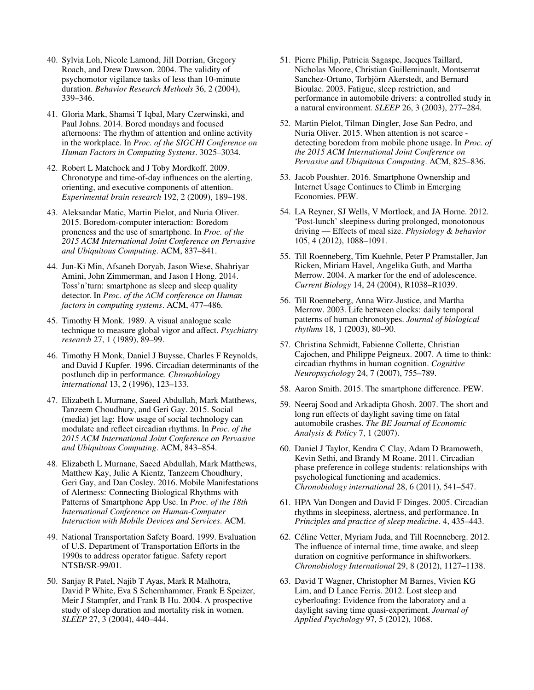- <span id="page-11-15"></span>40. Sylvia Loh, Nicole Lamond, Jill Dorrian, Gregory Roach, and Drew Dawson. 2004. The validity of psychomotor vigilance tasks of less than 10-minute duration. *Behavior Research Methods* 36, 2 (2004), 339–346.
- <span id="page-11-2"></span>41. Gloria Mark, Shamsi T Iqbal, Mary Czerwinski, and Paul Johns. 2014. Bored mondays and focused afternoons: The rhythm of attention and online activity in the workplace. In *Proc. of the SIGCHI Conference on Human Factors in Computing Systems*. 3025–3034.
- <span id="page-11-7"></span>42. Robert L Matchock and J Toby Mordkoff. 2009. Chronotype and time-of-day influences on the alerting, orienting, and executive components of attention. *Experimental brain research* 192, 2 (2009), 189–198.
- <span id="page-11-5"></span>43. Aleksandar Matic, Martin Pielot, and Nuria Oliver. 2015. Boredom-computer interaction: Boredom proneness and the use of smartphone. In *Proc. of the 2015 ACM International Joint Conference on Pervasive and Ubiquitous Computing*. ACM, 837–841.
- <span id="page-11-21"></span>44. Jun-Ki Min, Afsaneh Doryab, Jason Wiese, Shahriyar Amini, John Zimmerman, and Jason I Hong. 2014. Toss'n'turn: smartphone as sleep and sleep quality detector. In *Proc. of the ACM conference on Human factors in computing systems*. ACM, 477–486.
- <span id="page-11-12"></span>45. Timothy H Monk. 1989. A visual analogue scale technique to measure global vigor and affect. *Psychiatry research* 27, 1 (1989), 89–99.
- <span id="page-11-6"></span>46. Timothy H Monk, Daniel J Buysse, Charles F Reynolds, and David J Kupfer. 1996. Circadian determinants of the postlunch dip in performance. *Chronobiology international* 13, 2 (1996), 123–133.
- <span id="page-11-8"></span>47. Elizabeth L Murnane, Saeed Abdullah, Mark Matthews, Tanzeem Choudhury, and Geri Gay. 2015. Social (media) jet lag: How usage of social technology can modulate and reflect circadian rhythms. In *Proc. of the 2015 ACM International Joint Conference on Pervasive and Ubiquitous Computing*. ACM, 843–854.
- <span id="page-11-23"></span>48. Elizabeth L Murnane, Saeed Abdullah, Mark Matthews, Matthew Kay, Julie A Kientz, Tanzeem Choudhury, Geri Gay, and Dan Cosley. 2016. Mobile Manifestations of Alertness: Connecting Biological Rhythms with Patterns of Smartphone App Use. In *Proc. of the 18th International Conference on Human-Computer Interaction with Mobile Devices and Services*. ACM.
- <span id="page-11-22"></span>49. National Transportation Safety Board. 1999. Evaluation of U.S. Department of Transportation Efforts in the 1990s to address operator fatigue. Safety report NTSB/SR-99/01.
- <span id="page-11-16"></span>50. Sanjay R Patel, Najib T Ayas, Mark R Malhotra, David P White, Eva S Schernhammer, Frank E Speizer, Meir J Stampfer, and Frank B Hu. 2004. A prospective study of sleep duration and mortality risk in women. *SLEEP* 27, 3 (2004), 440–444.
- <span id="page-11-19"></span>51. Pierre Philip, Patricia Sagaspe, Jacques Taillard, Nicholas Moore, Christian Guilleminault, Montserrat Sanchez-Ortuno, Torbjörn Akerstedt, and Bernard Bioulac. 2003. Fatigue, sleep restriction, and performance in automobile drivers: a controlled study in a natural environment. *SLEEP* 26, 3 (2003), 277–284.
- <span id="page-11-3"></span>52. Martin Pielot, Tilman Dingler, Jose San Pedro, and Nuria Oliver. 2015. When attention is not scarce detecting boredom from mobile phone usage. In *Proc. of the 2015 ACM International Joint Conference on Pervasive and Ubiquitous Computing*. ACM, 825–836.
- <span id="page-11-20"></span>53. Jacob Poushter. 2016. Smartphone Ownership and Internet Usage Continues to Climb in Emerging Economies. PEW.
- <span id="page-11-13"></span>54. LA Reyner, SJ Wells, V Mortlock, and JA Horne. 2012. 'Post-lunch' sleepiness during prolonged, monotonous driving — Effects of meal size. *Physiology & behavior* 105, 4 (2012), 1088–1091.
- <span id="page-11-9"></span>55. Till Roenneberg, Tim Kuehnle, Peter P Pramstaller, Jan Ricken, Miriam Havel, Angelika Guth, and Martha Merrow. 2004. A marker for the end of adolescence. *Current Biology* 14, 24 (2004), R1038–R1039.
- <span id="page-11-17"></span>56. Till Roenneberg, Anna Wirz-Justice, and Martha Merrow. 2003. Life between clocks: daily temporal patterns of human chronotypes. *Journal of biological rhythms* 18, 1 (2003), 80–90.
- <span id="page-11-0"></span>57. Christina Schmidt, Fabienne Collette, Christian Cajochen, and Philippe Peigneux. 2007. A time to think: circadian rhythms in human cognition. *Cognitive Neuropsychology* 24, 7 (2007), 755–789.
- <span id="page-11-11"></span>58. Aaron Smith. 2015. The smartphone difference. PEW.
- <span id="page-11-18"></span>59. Neeraj Sood and Arkadipta Ghosh. 2007. The short and long run effects of daylight saving time on fatal automobile crashes. *The BE Journal of Economic Analysis & Policy* 7, 1 (2007).
- <span id="page-11-10"></span>60. Daniel J Taylor, Kendra C Clay, Adam D Bramoweth, Kevin Sethi, and Brandy M Roane. 2011. Circadian phase preference in college students: relationships with psychological functioning and academics. *Chronobiology international* 28, 6 (2011), 541–547.
- <span id="page-11-1"></span>61. HPA Van Dongen and David F Dinges. 2005. Circadian rhythms in sleepiness, alertness, and performance. In *Principles and practice of sleep medicine*. 4, 435–443.
- <span id="page-11-4"></span>62. Céline Vetter, Myriam Juda, and Till Roenneberg. 2012. The influence of internal time, time awake, and sleep duration on cognitive performance in shiftworkers. *Chronobiology International* 29, 8 (2012), 1127–1138.
- <span id="page-11-14"></span>63. David T Wagner, Christopher M Barnes, Vivien KG Lim, and D Lance Ferris. 2012. Lost sleep and cyberloafing: Evidence from the laboratory and a daylight saving time quasi-experiment. *Journal of Applied Psychology* 97, 5 (2012), 1068.